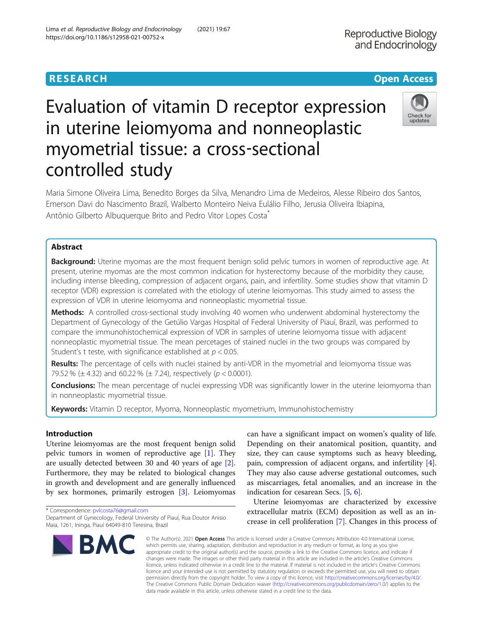# Evaluation of vitamin D receptor expression in uterine leiomyoma and nonneoplastic myometrial tissue: a cross‐sectional controlled study



Maria Simone Oliveira Lima, Benedito Borges da Silva, Menandro Lima de Medeiros, Alesse Ribeiro dos Santos, Emerson Davi do Nascimento Brazil, Walberto Monteiro Neiva Eulálio Filho, Jerusia Oliveira Ibiapina, Antônio Gilberto Albuquerque Brito and Pedro Vitor Lopes Costa\*

# Abstract

Background: Uterine myomas are the most frequent benign solid pelvic tumors in women of reproductive age. At present, uterine myomas are the most common indication for hysterectomy because of the morbidity they cause, including intense bleeding, compression of adjacent organs, pain, and infertility. Some studies show that vitamin D receptor (VDR) expression is correlated with the etiology of uterine leiomyomas. This study aimed to assess the expression of VDR in uterine leiomyoma and nonneoplastic myometrial tissue.

Methods: A controlled cross-sectional study involving 40 women who underwent abdominal hysterectomy the Department of Gynecology of the Getúlio Vargas Hospital of Federal University of Piauí, Brazil, was performed to compare the immunohistochemical expression of VDR in samples of uterine leiomyoma tissue with adjacent nonneoplastic myometrial tissue. The mean percetages of stained nuclei in the two groups was compared by Student's t teste, with significance established at  $p < 0.05$ .

Results: The percentage of cells with nuclei stained by anti-VDR in the myometrial and leiomyoma tissue was 79.52 % ( $\pm$  4.32) and 60.22 % ( $\pm$  7.24), respectively ( $p < 0.0001$ ).

Conclusions: The mean percentage of nuclei expressing VDR was significantly lower in the uterine leiomyoma than in nonneoplastic myometrial tissue.

Keywords: Vitamin D receptor, Myoma, Nonneoplastic myometrium, Immunohistochemistry

# Introduction

Uterine leiomyomas are the most frequent benign solid pelvic tumors in women of reproductive age [\[1](#page-5-0)]. They are usually detected between 30 and 40 years of age [\[2](#page-5-0)]. Furthermore, they may be related to biological changes in growth and development and are generally influenced by sex hormones, primarily estrogen [\[3](#page-5-0)]. Leiomyomas

\* Correspondence: [pvlcosta76@gmail.com](mailto:pvlcosta76@gmail.com) Department of Gynecology, Federal University of Piauí, Rua Doutor Anisio Maia, 1261, Ininga, Piauí 64049-810 Teresina, Brazil



can have a significant impact on women's quality of life. Depending on their anatomical position, quantity, and size, they can cause symptoms such as heavy bleeding, pain, compression of adjacent organs, and infertility [\[4](#page-5-0)]. They may also cause adverse gestational outcomes, such as miscarriages, fetal anomalies, and an increase in the indication for cesarean Secs. [[5,](#page-5-0) [6\]](#page-5-0).

Uterine leiomyomas are characterized by excessive extracellular matrix (ECM) deposition as well as an increase in cell proliferation [[7](#page-5-0)]. Changes in this process of

© The Author(s), 2021 **Open Access** This article is licensed under a Creative Commons Attribution 4.0 International License, which permits use, sharing, adaptation, distribution and reproduction in any medium or format, as long as you give appropriate credit to the original author(s) and the source, provide a link to the Creative Commons licence, and indicate if changes were made. The images or other third party material in this article are included in the article's Creative Commons licence, unless indicated otherwise in a credit line to the material. If material is not included in the article's Creative Commons licence and your intended use is not permitted by statutory regulation or exceeds the permitted use, you will need to obtain permission directly from the copyright holder. To view a copy of this licence, visit [http://creativecommons.org/licenses/by/4.0/.](http://creativecommons.org/licenses/by/4.0/) The Creative Commons Public Domain Dedication waiver [\(http://creativecommons.org/publicdomain/zero/1.0/](http://creativecommons.org/publicdomain/zero/1.0/)) applies to the data made available in this article, unless otherwise stated in a credit line to the data.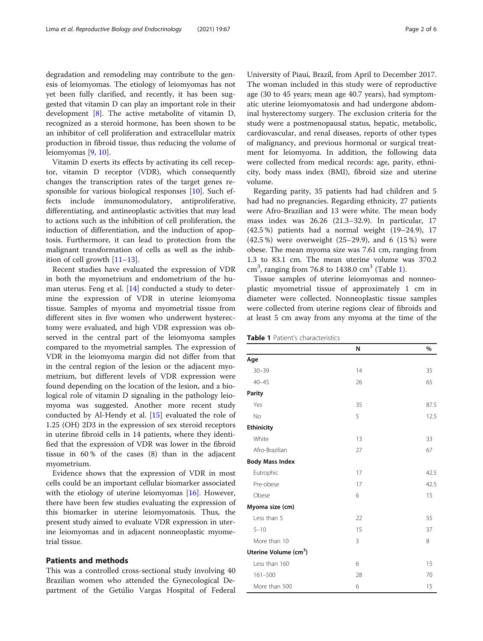degradation and remodeling may contribute to the genesis of leiomyomas. The etiology of leiomyomas has not yet been fully clarified, and recently, it has been suggested that vitamin D can play an important role in their development [[8\]](#page-5-0). The active metabolite of vitamin D, recognized as a steroid hormone, has been shown to be an inhibitor of cell proliferation and extracellular matrix production in fibroid tissue, thus reducing the volume of leiomyomas [\[9](#page-5-0), [10](#page-5-0)].

Vitamin D exerts its effects by activating its cell receptor, vitamin D receptor (VDR), which consequently changes the transcription rates of the target genes responsible for various biological responses [[10\]](#page-5-0). Such effects include immunomodulatory, antiproliferative, differentiating, and antineoplastic activities that may lead to actions such as the inhibition of cell proliferation, the induction of differentiation, and the induction of apoptosis. Furthermore, it can lead to protection from the malignant transformation of cells as well as the inhibition of cell growth [\[11](#page-5-0)–[13\]](#page-5-0).

Recent studies have evaluated the expression of VDR in both the myometrium and endometrium of the human uterus. Feng et al. [[14\]](#page-5-0) conducted a study to determine the expression of VDR in uterine leiomyoma tissue. Samples of myoma and myometrial tissue from different sites in five women who underwent hysterectomy were evaluated, and high VDR expression was observed in the central part of the leiomyoma samples compared to the myometrial samples. The expression of VDR in the leiomyoma margin did not differ from that in the central region of the lesion or the adjacent myometrium, but different levels of VDR expression were found depending on the location of the lesion, and a biological role of vitamin D signaling in the pathology leiomyoma was suggested. Another more recent study conducted by Al-Hendy et al. [[15](#page-5-0)] evaluated the role of 1.25 (OH) 2D3 in the expression of sex steroid receptors in uterine fibroid cells in 14 patients, where they identified that the expression of VDR was lower in the fibroid tissue in 60 % of the cases (8) than in the adjacent myometrium.

Evidence shows that the expression of VDR in most cells could be an important cellular biomarker associated with the etiology of uterine leiomyomas [[16](#page-5-0)]. However, there have been few studies evaluating the expression of this biomarker in uterine leiomyomatosis. Thus, the present study aimed to evaluate VDR expression in uterine leiomyomas and in adjacent nonneoplastic myometrial tissue.

### Patients and methods

This was a controlled cross-sectional study involving 40 Brazilian women who attended the Gynecological Department of the Getúlio Vargas Hospital of Federal

University of Piauí, Brazil, from April to December 2017. The woman included in this study were of reproductive age (30 to 45 years; mean age 40.7 years), had symptomatic uterine leiomyomatosis and had undergone abdominal hysterectomy surgery. The exclusion criteria for the study were a postmenopausal status, hepatic, metabolic, cardiovascular, and renal diseases, reports of other types of malignancy, and previous hormonal or surgical treatment for leiomyoma. In addition, the following data were collected from medical records: age, parity, ethnicity, body mass index (BMI), fibroid size and uterine volume.

Regarding parity, 35 patients had had children and 5 had had no pregnancies. Regarding ethnicity, 27 patients were Afro-Brazilian and 13 were white. The mean body mass index was 26.26 (21.3–32.9). In particular, 17 (42.5 %) patients had a normal weight (19–24.9), 17 (42.5 %) were overweight (25–29.9), and 6 (15 %) were obese. The mean myoma size was 7.61 cm, ranging from 1.3 to 83.1 cm. The mean uterine volume was 370.2  $cm<sup>3</sup>$ , ranging from 76.8 to 1438.0  $cm<sup>3</sup>$  (Table 1).

Tissue samples of uterine leiomyomas and nonneoplastic myometrial tissue of approximately 1 cm in diameter were collected. Nonneoplastic tissue samples were collected from uterine regions clear of fibroids and at least 5 cm away from any myoma at the time of the

Table 1 Patient's characteristics

|                                   | N  | %    |
|-----------------------------------|----|------|
| Age                               |    |      |
| $30 - 39$                         | 14 | 35   |
| $40 - 45$                         | 26 | 65   |
| Parity                            |    |      |
| Yes                               | 35 | 87.5 |
| <b>No</b>                         | 5  | 12.5 |
| <b>Ethinicity</b>                 |    |      |
| White                             | 13 | 33   |
| Afro-Brazilian                    | 27 | 67   |
| <b>Body Mass Index</b>            |    |      |
| Eutrophic                         | 17 | 42.5 |
| Pre-obese                         | 17 | 42.5 |
| Obese                             | 6  | 15   |
| Myoma size (cm)                   |    |      |
| Less than 5                       | 22 | 55   |
| $5 - 10$                          | 15 | 37   |
| More than 10                      | 3  | 8    |
| Uterine Volume (cm <sup>3</sup> ) |    |      |
| Less than 160                     | 6  | 15   |
| $161 - 500$                       | 28 | 70   |
| More than 500                     | 6  | 15   |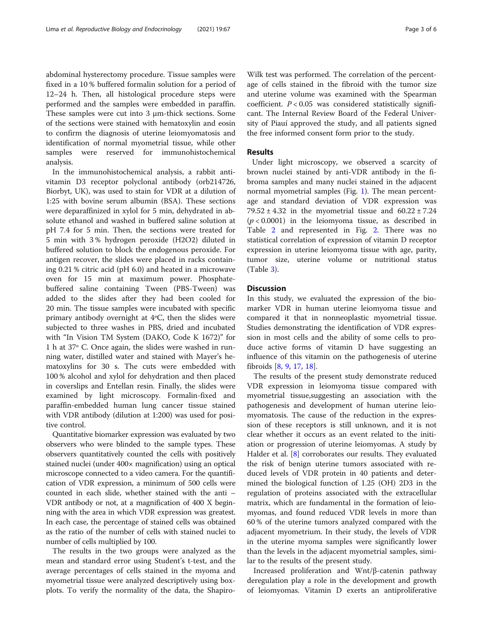abdominal hysterectomy procedure. Tissue samples were fixed in a 10 % buffered formalin solution for a period of 12–24 h. Then, all histological procedure steps were performed and the samples were embedded in paraffin. These samples were cut into 3 μm-thick sections. Some of the sections were stained with hematoxylin and eosin to confirm the diagnosis of uterine leiomyomatosis and identification of normal myometrial tissue, while other samples were reserved for immunohistochemical analysis.

In the immunohistochemical analysis, a rabbit antivitamin D3 receptor polyclonal antibody (orb214726, Biorbyt, UK), was used to stain for VDR at a dilution of 1:25 with bovine serum albumin (BSA). These sections were deparaffinized in xylol for 5 min, dehydrated in absolute ethanol and washed in buffered saline solution at pH 7.4 for 5 min. Then, the sections were treated for 5 min with 3 % hydrogen peroxide (H2O2) diluted in buffered solution to block the endogenous peroxide. For antigen recover, the slides were placed in racks containing 0.21 % citric acid (pH 6.0) and heated in a microwave oven for 15 min at maximum power. Phosphatebuffered saline containing Tween (PBS-Tween) was added to the slides after they had been cooled for 20 min. The tissue samples were incubated with specific primary antibody overnight at 4ºC, then the slides were subjected to three washes in PBS, dried and incubated with "In Vision TM System (DAKO, Code K 1672)" for 1 h at 37º C. Once again, the slides were washed in running water, distilled water and stained with Mayer's hematoxylins for 30 s. The cuts were embedded with 100 % alcohol and xylol for dehydration and then placed in coverslips and Entellan resin. Finally, the slides were examined by light microscopy. Formalin-fixed and paraffin-embedded human lung cancer tissue stained with VDR antibody (dilution at 1:200) was used for positive control.

Quantitative biomarker expression was evaluated by two observers who were blinded to the sample types. These observers quantitatively counted the cells with positively stained nuclei (under 400× magnification) using an optical microscope connected to a video camera. For the quantification of VDR expression, a minimum of 500 cells were counted in each slide, whether stained with the anti – VDR antibody or not, at a magnification of 400 X beginning with the area in which VDR expression was greatest. In each case, the percentage of stained cells was obtained as the ratio of the number of cells with stained nuclei to number of cells multiplied by 100.

The results in the two groups were analyzed as the mean and standard error using Student's t-test, and the average percentages of cells stained in the myoma and myometrial tissue were analyzed descriptively using boxplots. To verify the normality of the data, the Shapiro-

Wilk test was performed. The correlation of the percentage of cells stained in the fibroid with the tumor size and uterine volume was examined with the Spearman coefficient.  $P < 0.05$  was considered statistically significant. The Internal Review Board of the Federal University of Piauí approved the study, and all patients signed the free informed consent form prior to the study.

#### Results

Under light microscopy, we observed a scarcity of brown nuclei stained by anti-VDR antibody in the fibroma samples and many nuclei stained in the adjacent normal myometrial samples (Fig. [1\)](#page-3-0). The mean percentage and standard deviation of VDR expression was  $79.52 \pm 4.32$  in the myometrial tissue and  $60.22 \pm 7.24$  $(p < 0.0001)$  in the leiomyoma tissue, as described in Table [2](#page-3-0) and represented in Fig. [2](#page-4-0). There was no statistical correlation of expression of vitamin D receptor expression in uterine leiomyoma tissue with age, parity, tumor size, uterine volume or nutritional status (Table [3\)](#page-4-0).

#### **Discussion**

In this study, we evaluated the expression of the biomarker VDR in human uterine leiomyoma tissue and compared it that in nonneoplastic myometrial tissue. Studies demonstrating the identification of VDR expression in most cells and the ability of some cells to produce active forms of vitamin D have suggesting an influence of this vitamin on the pathogenesis of uterine fibroids [[8,](#page-5-0) [9,](#page-5-0) [17,](#page-5-0) [18](#page-5-0)].

The results of the present study demonstrate reduced VDR expression in leiomyoma tissue compared with myometrial tissue,suggesting an association with the pathogenesis and development of human uterine leiomyomatosis. The cause of the reduction in the expression of these receptors is still unknown, and it is not clear whether it occurs as an event related to the initiation or progression of uterine leiomyomas. A study by Halder et al. [[8](#page-5-0)] corroborates our results. They evaluated the risk of benign uterine tumors associated with reduced levels of VDR protein in 40 patients and determined the biological function of 1.25 (OH) 2D3 in the regulation of proteins associated with the extracellular matrix, which are fundamental in the formation of leiomyomas, and found reduced VDR levels in more than 60 % of the uterine tumors analyzed compared with the adjacent myometrium. In their study, the levels of VDR in the uterine myoma samples were significantly lower than the levels in the adjacent myometrial samples, similar to the results of the present study.

Increased proliferation and Wnt/β-catenin pathway deregulation play a role in the development and growth of leiomyomas. Vitamin D exerts an antiproliferative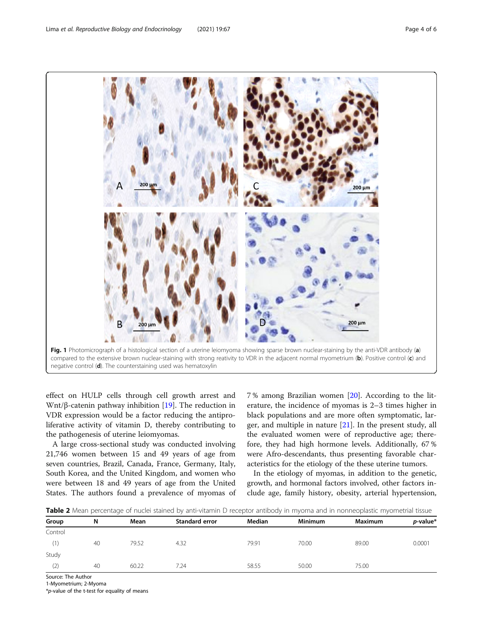<span id="page-3-0"></span>

effect on HULP cells through cell growth arrest and Wnt/β-catenin pathway inhibition  $[19]$  $[19]$ . The reduction in VDR expression would be a factor reducing the antiproliferative activity of vitamin D, thereby contributing to the pathogenesis of uterine leiomyomas.

A large cross-sectional study was conducted involving 21,746 women between 15 and 49 years of age from seven countries, Brazil, Canada, France, Germany, Italy, South Korea, and the United Kingdom, and women who were between 18 and 49 years of age from the United States. The authors found a prevalence of myomas of 7 % among Brazilian women [[20](#page-5-0)]. According to the literature, the incidence of myomas is 2–3 times higher in black populations and are more often symptomatic, larger, and multiple in nature [\[21](#page-5-0)]. In the present study, all the evaluated women were of reproductive age; therefore, they had high hormone levels. Additionally, 67 % were Afro-descendants, thus presenting favorable characteristics for the etiology of the these uterine tumors.

In the etiology of myomas, in addition to the genetic, growth, and hormonal factors involved, other factors include age, family history, obesity, arterial hypertension,

Table 2 Mean percentage of nuclei stained by anti-vitamin D receptor antibody in myoma and in nonneoplastic myometrial tissue

| Group   | N  | Mean  | <b>Standard error</b> | <b>Median</b> | <b>Minimum</b> | Maximum | $p$ -value* |
|---------|----|-------|-----------------------|---------------|----------------|---------|-------------|
| Control |    |       |                       |               |                |         |             |
| (1)     | 40 | 79.52 | 4.32                  | 79.91         | 70.00          | 89.00   | 0.0001      |
| Study   |    |       |                       |               |                |         |             |
| (2)     | 40 | 60.22 | 7.24                  | 58.55         | 50.00          | 75.00   |             |
|         |    |       |                       |               |                |         |             |

Source: The Author

1-Myometrium; 2-Myoma

\*p-value of the t-test for equality of means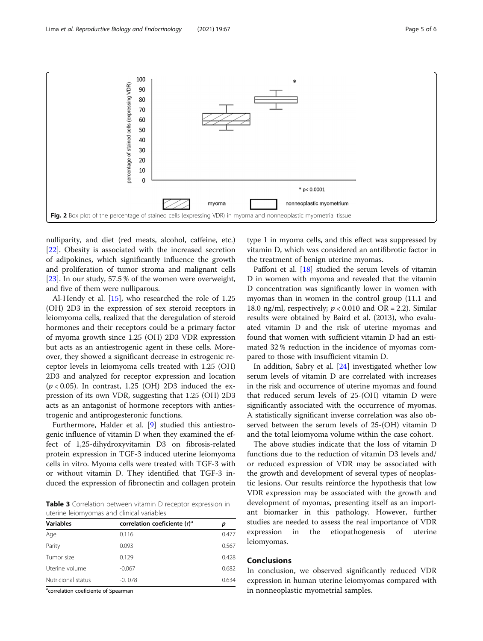<span id="page-4-0"></span>

nulliparity, and diet (red meats, alcohol, caffeine, etc.) [[22\]](#page-5-0). Obesity is associated with the increased secretion of adipokines, which significantly influence the growth and proliferation of tumor stroma and malignant cells [[23\]](#page-5-0). In our study, 57.5 % of the women were overweight, and five of them were nulliparous.

Al-Hendy et al. [[15\]](#page-5-0), who researched the role of 1.25 (OH) 2D3 in the expression of sex steroid receptors in leiomyoma cells, realized that the deregulation of steroid hormones and their receptors could be a primary factor of myoma growth since 1.25 (OH) 2D3 VDR expression but acts as an antiestrogenic agent in these cells. Moreover, they showed a significant decrease in estrogenic receptor levels in leiomyoma cells treated with 1.25 (OH) 2D3 and analyzed for receptor expression and location  $(p < 0.05)$ . In contrast, 1.25 (OH) 2D3 induced the expression of its own VDR, suggesting that 1.25 (OH) 2D3 acts as an antagonist of hormone receptors with antiestrogenic and antiprogesteronic functions.

Furthermore, Halder et al. [[9\]](#page-5-0) studied this antiestrogenic influence of vitamin D when they examined the effect of 1,25-dihydroxyvitamin D3 on fibrosis-related protein expression in TGF-3 induced uterine leiomyoma cells in vitro. Myoma cells were treated with TGF-3 with or without vitamin D. They identified that TGF-3 induced the expression of fibronectin and collagen protein

Table 3 Correlation between vitamin D receptor expression in uterine leiomyomas and clinical variables

| <b>Variables</b>   | correlation coeficiente (r) <sup>a</sup> | р     |
|--------------------|------------------------------------------|-------|
| Age                | 0.116                                    | 0.477 |
| Parity             | 0.093                                    | 0.567 |
| Tumor size         | 0.129                                    | 0.428 |
| Uterine volume     | $-0.067$                                 | 0.682 |
| Nutricional status | $-0.078$                                 | 0.634 |

<sup>a</sup>correlation coeficiente of Spearman

type 1 in myoma cells, and this effect was suppressed by vitamin D, which was considered an antifibrotic factor in the treatment of benign uterine myomas.

Paffoni et al. [\[18\]](#page-5-0) studied the serum levels of vitamin D in women with myoma and revealed that the vitamin D concentration was significantly lower in women with myomas than in women in the control group (11.1 and 18.0 ng/ml, respectively;  $p < 0.010$  and OR = 2.2). Similar results were obtained by Baird et al. (2013), who evaluated vitamin D and the risk of uterine myomas and found that women with sufficient vitamin D had an estimated 32 % reduction in the incidence of myomas compared to those with insufficient vitamin D.

In addition, Sabry et al. [\[24](#page-5-0)] investigated whether low serum levels of vitamin D are correlated with increases in the risk and occurrence of uterine myomas and found that reduced serum levels of 25-(OH) vitamin D were significantly associated with the occurrence of myomas. A statistically significant inverse correlation was also observed between the serum levels of 25-(OH) vitamin D and the total leiomyoma volume within the case cohort.

The above studies indicate that the loss of vitamin D functions due to the reduction of vitamin D3 levels and/ or reduced expression of VDR may be associated with the growth and development of several types of neoplastic lesions. Our results reinforce the hypothesis that low VDR expression may be associated with the growth and development of myomas, presenting itself as an important biomarker in this pathology. However, further studies are needed to assess the real importance of VDR expression in the etiopathogenesis of uterine leiomyomas.

## Conclusions

In conclusion, we observed significantly reduced VDR expression in human uterine leiomyomas compared with in nonneoplastic myometrial samples.